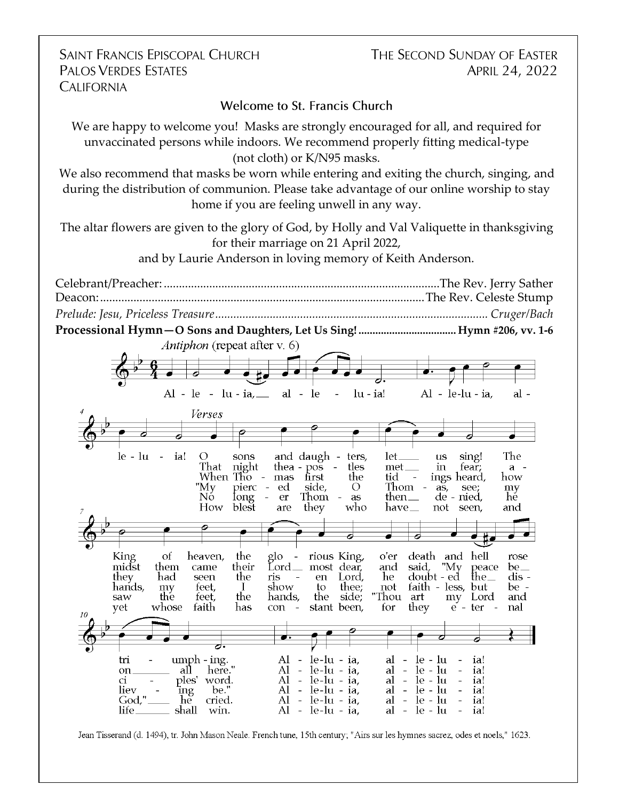**SAINT FRANCIS EPISCOPAL CHURCH PALOS VERDES ESTATES CALIFORNIA** 

THE SECOND SUNDAY OF EASTER APRIL 24, 2022

**Welcome to St. Francis Church** 

We are happy to welcome you! Masks are strongly encouraged for all, and required for unvaccinated persons while indoors. We recommend properly fitting medical-type (not cloth) or K/N95 masks.

We also recommend that masks be worn while entering and exiting the church, singing, and during the distribution of communion. Please take advantage of our online worship to stay home if you are feeling unwell in any way.

The altar flowers are given to the glory of God, by Holly and Val Valiquette in thanksgiving for their marriage on 21 April 2022,

and by Laurie Anderson in loving memory of Keith Anderson.



Jean Tisserand (d. 1494), tr. John Mason Neale. French tune, 15th century; "Airs sur les hymnes sacrez, odes et noels," 1623.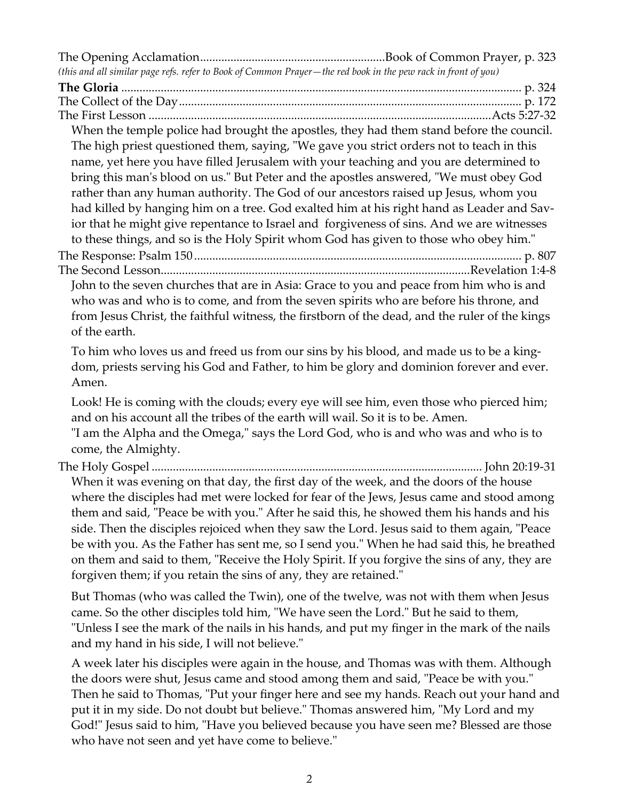| (this and all similar page refs. refer to Book of Common Prayer-the red book in the pew rack in front of you)                                                                                                                                                                                                                                                                                                                                                                                                                                                                                                                                                                                                                                                                                                                               |  |
|---------------------------------------------------------------------------------------------------------------------------------------------------------------------------------------------------------------------------------------------------------------------------------------------------------------------------------------------------------------------------------------------------------------------------------------------------------------------------------------------------------------------------------------------------------------------------------------------------------------------------------------------------------------------------------------------------------------------------------------------------------------------------------------------------------------------------------------------|--|
| When the temple police had brought the apostles, they had them stand before the council.<br>The high priest questioned them, saying, "We gave you strict orders not to teach in this<br>name, yet here you have filled Jerusalem with your teaching and you are determined to<br>bring this man's blood on us." But Peter and the apostles answered, "We must obey God<br>rather than any human authority. The God of our ancestors raised up Jesus, whom you<br>had killed by hanging him on a tree. God exalted him at his right hand as Leader and Sav-<br>ior that he might give repentance to Israel and forgiveness of sins. And we are witnesses<br>to these things, and so is the Holy Spirit whom God has given to those who obey him."<br>John to the seven churches that are in Asia: Grace to you and peace from him who is and |  |
| who was and who is to come, and from the seven spirits who are before his throne, and<br>from Jesus Christ, the faithful witness, the firstborn of the dead, and the ruler of the kings<br>of the earth.<br>To him who loves us and freed us from our sins by his blood, and made us to be a king-<br>dom, priests serving his God and Father, to him be glory and dominion forever and ever.<br>Amen.                                                                                                                                                                                                                                                                                                                                                                                                                                      |  |
| Look! He is coming with the clouds; every eye will see him, even those who pierced him;<br>and on his account all the tribes of the earth will wail. So it is to be. Amen.<br>"I am the Alpha and the Omega," says the Lord God, who is and who was and who is to<br>come, the Almighty.                                                                                                                                                                                                                                                                                                                                                                                                                                                                                                                                                    |  |
| When it was evening on that day, the first day of the week, and the doors of the house<br>where the disciples had met were locked for fear of the Jews, Jesus came and stood among<br>them and said, "Peace be with you." After he said this, he showed them his hands and his<br>side. Then the disciples rejoiced when they saw the Lord. Jesus said to them again, "Peace<br>be with you. As the Father has sent me, so I send you." When he had said this, he breathed<br>on them and said to them, "Receive the Holy Spirit. If you forgive the sins of any, they are<br>forgiven them; if you retain the sins of any, they are retained."                                                                                                                                                                                             |  |
| But Thomas (who was called the Twin), one of the twelve, was not with them when Jesus<br>came. So the other disciples told him, "We have seen the Lord." But he said to them,<br>"Unless I see the mark of the nails in his hands, and put my finger in the mark of the nails<br>and my hand in his side, I will not believe."                                                                                                                                                                                                                                                                                                                                                                                                                                                                                                              |  |
| A week later his disciples were again in the house, and Thomas was with them. Although                                                                                                                                                                                                                                                                                                                                                                                                                                                                                                                                                                                                                                                                                                                                                      |  |

the doors were shut, Jesus came and stood among them and said, "Peace be with you." Then he said to Thomas, "Put your finger here and see my hands. Reach out your hand and put it in my side. Do not doubt but believe." Thomas answered him, "My Lord and my God!" Jesus said to him, "Have you believed because you have seen me? Blessed are those who have not seen and yet have come to believe."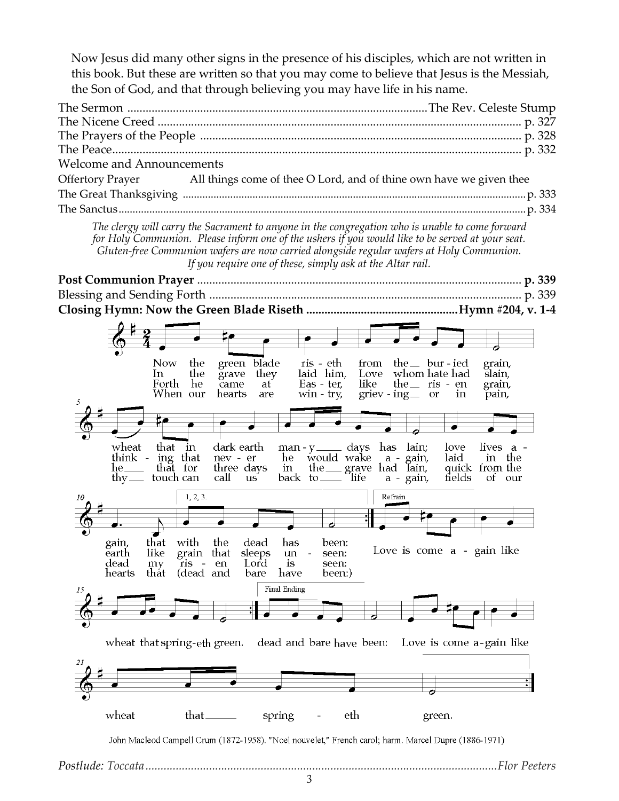Now Jesus did many other signs in the presence of his disciples, which are not written in this book. But these are written so that you may come to believe that Jesus is the Messiah, the Son of God, and that through believing you may have life in his name.

| <b>Welcome and Announcements</b> |                                                                                      |
|----------------------------------|--------------------------------------------------------------------------------------|
|                                  | Offertory Prayer All things come of thee O Lord, and of thine own have we given thee |
|                                  |                                                                                      |
|                                  |                                                                                      |

*The clergy will carry the Sacrament to anyone in the congregation who is unable to come forward for Holy Communion. Please inform one of the ushers if you would like to be served at your seat. Gluten-free Communion wafers are now carried alongside regular wafers at Holy Communion. If you require one of these, simply ask at the Altar rail.*

**Post Communion Prayer** ........................................................................................................... **p. 339** Blessing and Sending Forth ....................................................................................................... p. 339 **Closing Hymn: Now the Green Blade Riseth ..................................................Hymn #204, v. 1-4**